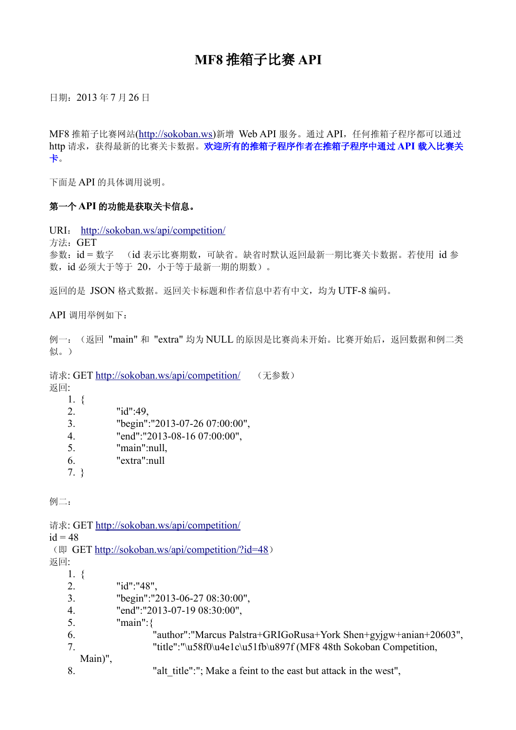## **MF8** 推箱子比赛 **API**

日期:2013 年 7 月 26 日

MF8 推箱子比赛网站[\(http://sokoban.ws\)](http://sokoban.ws/)新增 Web API 服务。通过 API, 任何推箱子程序都可以通过 http 请求,获得最新的比赛关卡数据。欢迎所有的推箱子程序作者在推箱子程序中通过 API 载入比赛关 卡。

下面是 API 的具体调用说明。

## 第一个 **API** 的功能是获取关卡信息。

URI: <http://sokoban.ws/api/competition/>

方法:GET

参数:id = 数字 (id 表示比赛期数,可缺省。缺省时默认返回最新一期比赛关卡数据。若使用 id 参 数, id 必须大于等于 20, 小于等于最新一期的期数)。

返回的是 JSON 格式数据。返回关卡标题和作者信息中若有中文,均为 UTF-8 编码。

API 调用举例如下:

例一: (返回 "main" 和 "extra" 均为 NULL 的原因是比赛尚未开始。比赛开始后, 返回数据和例二类 似。)

请求: GET<http://sokoban.ws/api/competition/> (无参数)

- 返回:
	- 1. { 2. "id":49, 3. "begin":"2013-07-26 07:00:00", 4. "end":"2013-08-16 07:00:00", 5. "main":null, 6. "extra":null
	- 7. }

例二:

```
 http://sokoban.ws/api/competition/
id = 48 http://sokoban.ws/api/competition/?id=48)
返回:
   1. {
   2. "id":"48",
   3. "begin":"2013-06-27 08:30:00",
   4. "end":"2013-07-19 08:30:00",
   5. "main":{
   6. "author":"Marcus Palstra+GRIGoRusa+York Shen+gyjgw+anian+20603",
   7. "title":"\u58f0\u4e1c\u51fb\u897f (MF8 48th Sokoban Competition,
     Main)",
   8. "alt title":"; Make a feint to the east but attack in the west",
```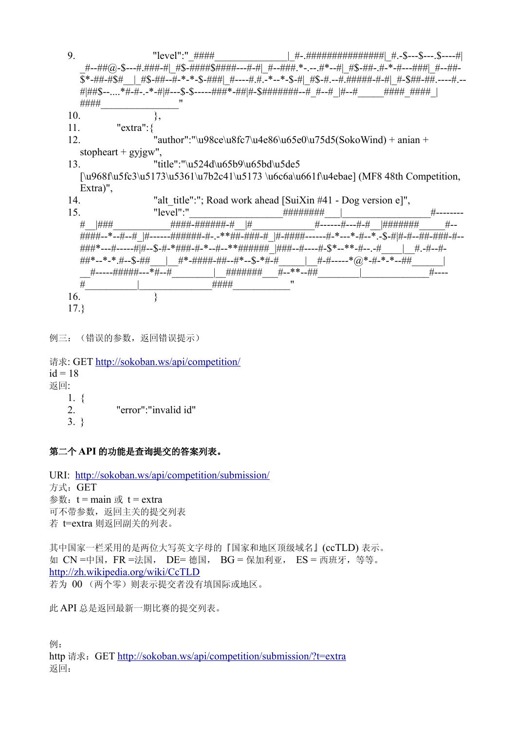9.  $"level"$ :"  $\# \# \# \#$  |  $\#$ - $\# \# \# \# \# \# \# \# \# \# \# \$ \$---\$--- $\#$ . \_#--##@-\$---#.###-#|\_#\$-####\$####---#-#|\_#--###.\*-.--.#\*--#|\_#\$-##-.#-\*-#---###|\_#--##- \$\*-##-#\$#\_\_|\_#\$-##--#-\*-\*-\$-###|\_#----#.#.-\*--\*-\$-#|\_#\$-#.--#.#####-#-#|\_#-\$##-##.----#.-- #\##\$--....\*#-#-.-\*-#\#--\$-\$-----###\*-##\#-\$######+--#\_#--#\_\#--#\_\_\_\_\_\_\_\_\_\_\_\_\_\_\_\_ ####  $10.$  }, 11. "extra":{ 12. "author":"\u98ce\u8fc7\u4e86\u65e0\u75d5(SokoWind) + anian + stopheart +  $gyigw$ ", 13. "title":"\u524d\u65b9\u65bd\u5de5"  $\[\nu\968f\u5fc3\u5173\u5361\u7b2c41\u5173\u6c6a\u661f\u4ebae] (MFS 48th Competition,$ Extra)", 14. "alt title":"; Road work ahead [SuiXin #41 - Dog version e]", 15. "level":"\_\_\_\_\_\_\_\_\_\_\_\_\_\_\_\_\_\_########\_\_\_|\_\_\_\_\_\_\_\_\_\_\_\_\_\_\_\_\_#-------- #\_\_|###\_\_\_\_\_\_\_\_\_\_\_####-######-#\_\_|#\_\_\_\_\_\_\_\_\_\_\_\_#------#---#-#\_\_|#######\_\_\_\_\_#-- #####--\*--#--# |#------######+#-.-\*\*##+###+# |#-####+------#-\*---\*-#---\*.-\$-#|#-#--##+###+#-####\*---#------#|#--\$-#-\*###+#-\*--#--\*\*#######\_|###--#----#-\$\*--\*\*-#--.-# | #.-#--#-##\*--\*-\*.#--\$-##\_\_\_|\_\_#\*-####-##--#\*--\$-\*#-#\_\_\_\_\_|\_\_#-#-----\*@\*-#-\*-\*--##\_\_\_\_\_\_| \_\_#-----#####---\*#--#\_\_\_\_\_\_\_\_|\_\_#######\_\_\_#--\*\*--##\_\_\_\_\_\_\_\_|\_\_\_\_\_\_\_\_\_\_\_\_\_#---- #\_\_\_\_\_\_\_\_\_\_|\_\_\_\_\_\_\_\_\_\_\_\_\_\_####\_\_\_\_\_\_\_\_\_\_\_" 16. } 17.}

例三:(错误的参数, 返回错误提示)

请求: GET<http://sokoban.ws/api/competition/>  $id = 18$ 返回: 1. { 2. "error":"invalid id" 3. }

第二个 **API** 的功能是查询提交的答案列表。

URI: <http://sokoban.ws/api/competition/submission/> 方式:GET 参数:  $t = \text{main}$  或  $t = \text{extra}$ 可不带参数,返回主关的提交列表 若 t=extra 则返回副关的列表。

其中国家一栏采用的是两位大写英文字母的『国家和地区顶级域名』(ccTLD) 表示。 如 CN =中国,FR =法国, DE= 德国, BG = 保加利亚, ES = 西班牙,等等。 <http://zh.wikipedia.org/wiki/CcTLD> 若为 00 (两个零)则表示提交者没有填国际或地区。

此 API 总是返回最新一期比赛的提交列表。

例: http 请求: GET<http://sokoban.ws/api/competition/submission/?t=extra> 返回: